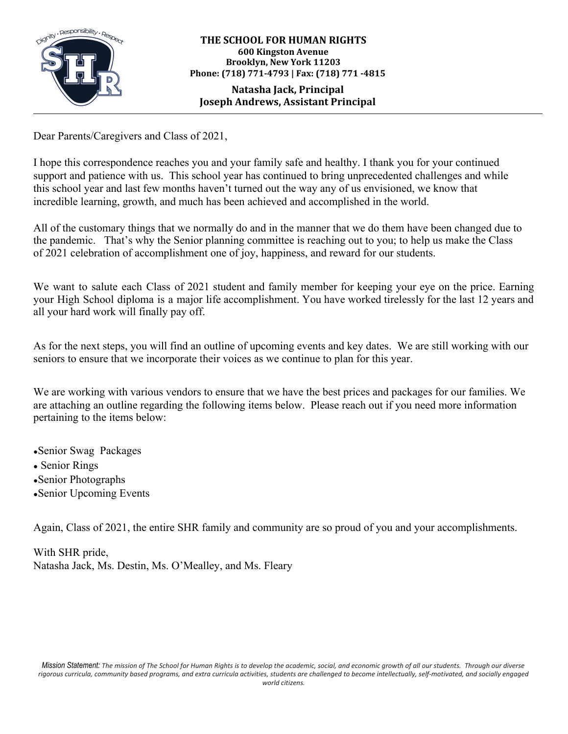

### **THE SCHOOL FOR HUMAN RIGHTS 600 Kingston Avenue Brooklyn, New York 11203 Phone: (718) 771-4793 | Fax: (718) 771 -4815**

## **Natasha Jack, Principal Joseph Andrews, Assistant Principal**

Dear Parents/Caregivers and Class of 2021,

I hope this correspondence reaches you and your family safe and healthy. I thank you for your continued support and patience with us. This school year has continued to bring unprecedented challenges and while this school year and last few months haven't turned out the way any of us envisioned, we know that incredible learning, growth, and much has been achieved and accomplished in the world.

All of the customary things that we normally do and in the manner that we do them have been changed due to the pandemic. That's why the Senior planning committee is reaching out to you; to help us make the Class of 2021 celebration of accomplishment one of joy, happiness, and reward for our students.

We want to salute each Class of 2021 student and family member for keeping your eye on the price. Earning your High School diploma is a major life accomplishment. You have worked tirelessly for the last 12 years and all your hard work will finally pay off.

As for the next steps, you will find an outline of upcoming events and key dates. We are still working with our seniors to ensure that we incorporate their voices as we continue to plan for this year.

We are working with various vendors to ensure that we have the best prices and packages for our families. We are attaching an outline regarding the following items below. Please reach out if you need more information pertaining to the items below:

●Senior Swag Packages • Senior Rings ●Senior Photographs

•Senior Upcoming Events

Again, Class of 2021, the entire SHR family and community are so proud of you and your accomplishments.

With SHR pride, Natasha Jack, Ms. Destin, Ms. O'Mealley, and Ms. Fleary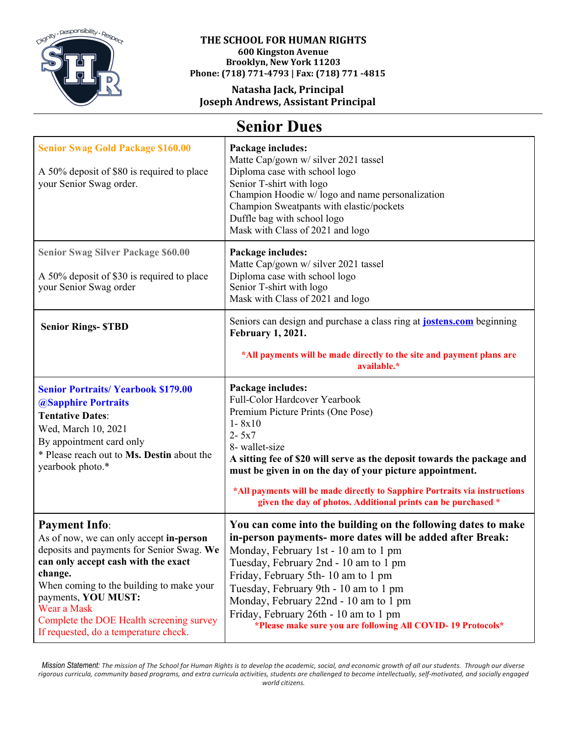

#### **THE SCHOOL FOR HUMAN RIGHTS 600 Kingston Avenue Brooklyn, New York 11203**

**Phone: (718) 771-4793 | Fax: (718) 771 -4815**

## **Natasha Jack, Principal Joseph Andrews, Assistant Principal**

# **Senior Dues**

| <b>Senior Swag Gold Package \$160.00</b><br>A 50% deposit of \$80 is required to place<br>your Senior Swag order.                                                                                                                                                                                                                     | Package includes:<br>Matte Cap/gown w/ silver 2021 tassel<br>Diploma case with school logo<br>Senior T-shirt with logo<br>Champion Hoodie w/logo and name personalization<br>Champion Sweatpants with elastic/pockets<br>Duffle bag with school logo<br>Mask with Class of 2021 and logo                                                                                                                                                    |
|---------------------------------------------------------------------------------------------------------------------------------------------------------------------------------------------------------------------------------------------------------------------------------------------------------------------------------------|---------------------------------------------------------------------------------------------------------------------------------------------------------------------------------------------------------------------------------------------------------------------------------------------------------------------------------------------------------------------------------------------------------------------------------------------|
| <b>Senior Swag Silver Package \$60.00</b><br>A 50% deposit of \$30 is required to place<br>your Senior Swag order                                                                                                                                                                                                                     | Package includes:<br>Matte Cap/gown w/ silver 2021 tassel<br>Diploma case with school logo<br>Senior T-shirt with logo<br>Mask with Class of 2021 and logo                                                                                                                                                                                                                                                                                  |
| <b>Senior Rings-STBD</b>                                                                                                                                                                                                                                                                                                              | Seniors can design and purchase a class ring at <b>jostens.com</b> beginning<br><b>February 1, 2021.</b><br>*All payments will be made directly to the site and payment plans are<br>available.*                                                                                                                                                                                                                                            |
| <b>Senior Portraits/ Yearbook \$179.00</b><br><b>@Sapphire Portraits</b><br><b>Tentative Dates:</b><br>Wed, March 10, 2021<br>By appointment card only<br>* Please reach out to Ms. Destin about the<br>yearbook photo.*                                                                                                              | Package includes:<br>Full-Color Hardcover Yearbook<br>Premium Picture Prints (One Pose)<br>$1 - 8x10$<br>$2 - 5x7$<br>8- wallet-size<br>A sitting fee of \$20 will serve as the deposit towards the package and<br>must be given in on the day of your picture appointment.<br>*All payments will be made directly to Sapphire Portraits via instructions<br>given the day of photos. Additional prints can be purchased *                  |
| <b>Payment Info:</b><br>As of now, we can only accept in-person<br>deposits and payments for Senior Swag. We<br>can only accept cash with the exact<br>change.<br>When coming to the building to make your<br>payments, YOU MUST:<br>Wear a Mask<br>Complete the DOE Health screening survey<br>If requested, do a temperature check. | You can come into the building on the following dates to make<br>in-person payments- more dates will be added after Break:<br>Monday, February 1st - 10 am to 1 pm<br>Tuesday, February 2nd - 10 am to 1 pm<br>Friday, February 5th-10 am to 1 pm<br>Tuesday, February 9th - 10 am to 1 pm<br>Monday, February 22nd - 10 am to 1 pm<br>Friday, February 26th - 10 am to 1 pm<br>*Please make sure you are following All COVID-19 Protocols* |

Mission Statement: The mission of The School for Human Rights is to develop the academic, social, and economic growth of all our students. Through our diverse rigorous curricula, community based programs, and extra curricula activities, students are challenged to become intellectually, self-motivated, and socially engaged *world citizens.*